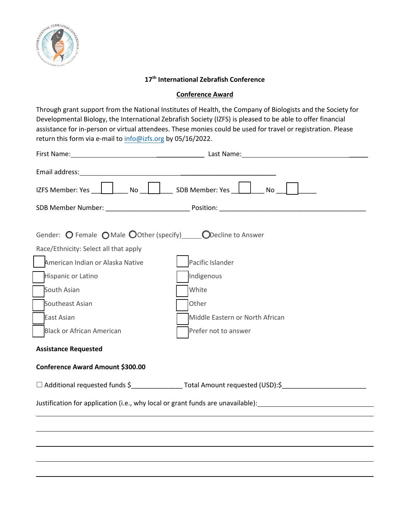

## **17 th International Zebrafish Conference**

## **Conference Award**

Through grant support from the National Institutes of Health, the Company of Biologists and the Society for Developmental Biology, the International Zebrafish Society (IZFS) is pleased to be able to offer financial assistance for in-person or virtual attendees. These monies could be used for travel or registration. Please return this form via e-mail to info@izfs.org by 05/16/2022.

| Gender: $\bigcirc$ Female $\bigcirc$ Male $\bigcirc$ Other (specify) $\bigcirc$ Decline to Answer                                                               |                                                                                                              |  |
|-----------------------------------------------------------------------------------------------------------------------------------------------------------------|--------------------------------------------------------------------------------------------------------------|--|
| Race/Ethnicity: Select all that apply                                                                                                                           |                                                                                                              |  |
| American Indian or Alaska Native                                                                                                                                | Pacific Islander                                                                                             |  |
| Hispanic or Latino                                                                                                                                              | Indigenous                                                                                                   |  |
| South Asian                                                                                                                                                     | White                                                                                                        |  |
| Southeast Asian                                                                                                                                                 | Other                                                                                                        |  |
| East Asian                                                                                                                                                      | Middle Eastern or North African                                                                              |  |
| <b>Black or African American</b>                                                                                                                                | Prefer not to answer                                                                                         |  |
| <b>Assistance Requested</b>                                                                                                                                     |                                                                                                              |  |
| Conference Award Amount \$300.00                                                                                                                                |                                                                                                              |  |
|                                                                                                                                                                 | □ Additional requested funds \$<br>□ Additional requested funds \$<br><u>□ Additional requested funds \$</u> |  |
| Justification for application (i.e., why local or grant funds are unavailable): Justification for application (i.e., why local or grant funds are unavailable): |                                                                                                              |  |
|                                                                                                                                                                 |                                                                                                              |  |
|                                                                                                                                                                 |                                                                                                              |  |
|                                                                                                                                                                 |                                                                                                              |  |
|                                                                                                                                                                 |                                                                                                              |  |
|                                                                                                                                                                 |                                                                                                              |  |